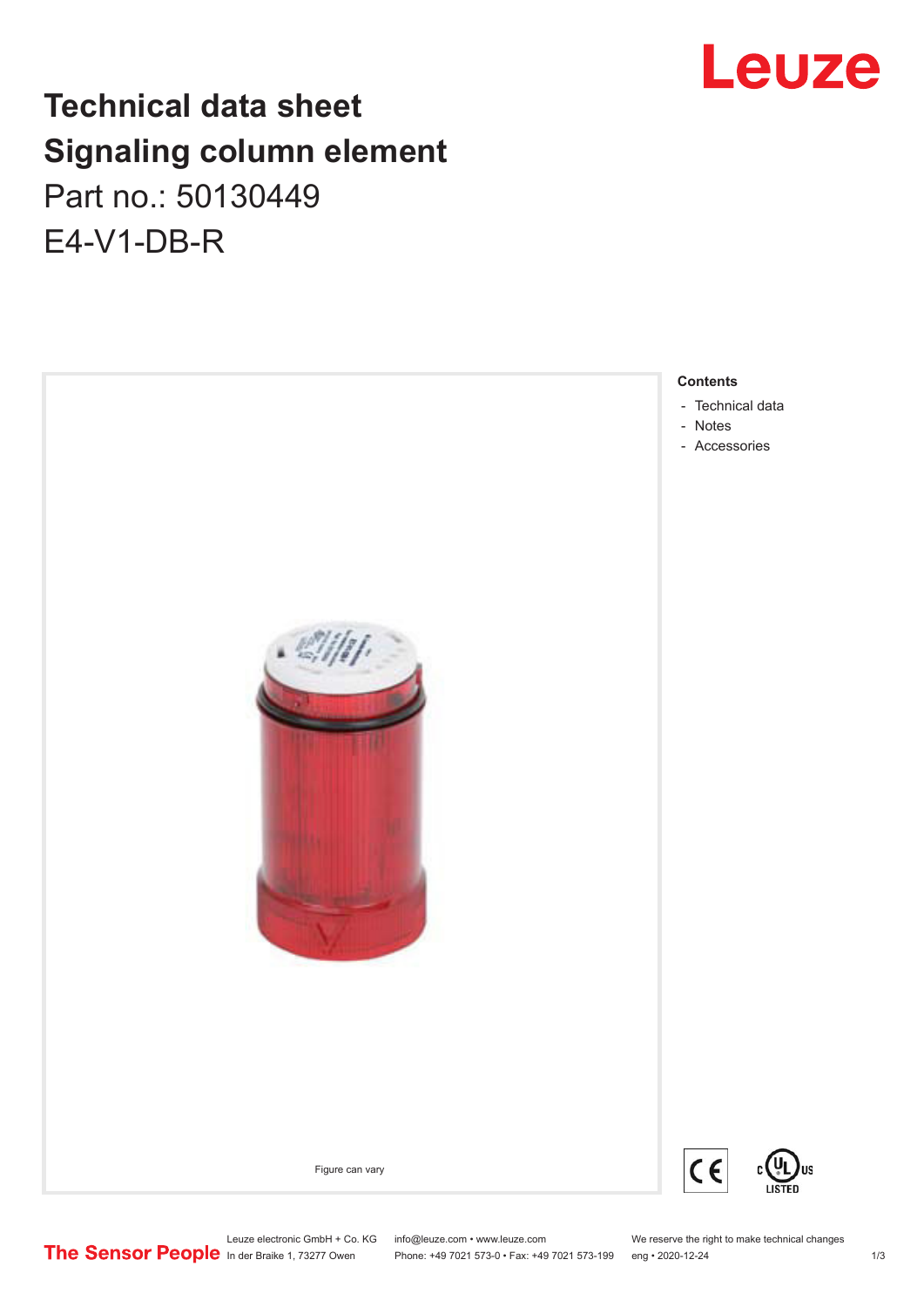# Leuze

## **Technical data sheet Signaling column element** Part no.: 50130449 E4-V1-DB-R



Phone: +49 7021 573-0 • Fax: +49 7021 573-199 eng • 2020-12-24 1 2020-12-24

Leuze electronic GmbH + Co. KG info@leuze.com • www.leuze.com We reserve the right to make technical changes<br>
The Sensor People in der Braike 1, 73277 Owen Phone: +49 7021 573-0 • Fax: +49 7021 573-199 eng • 2020-12-24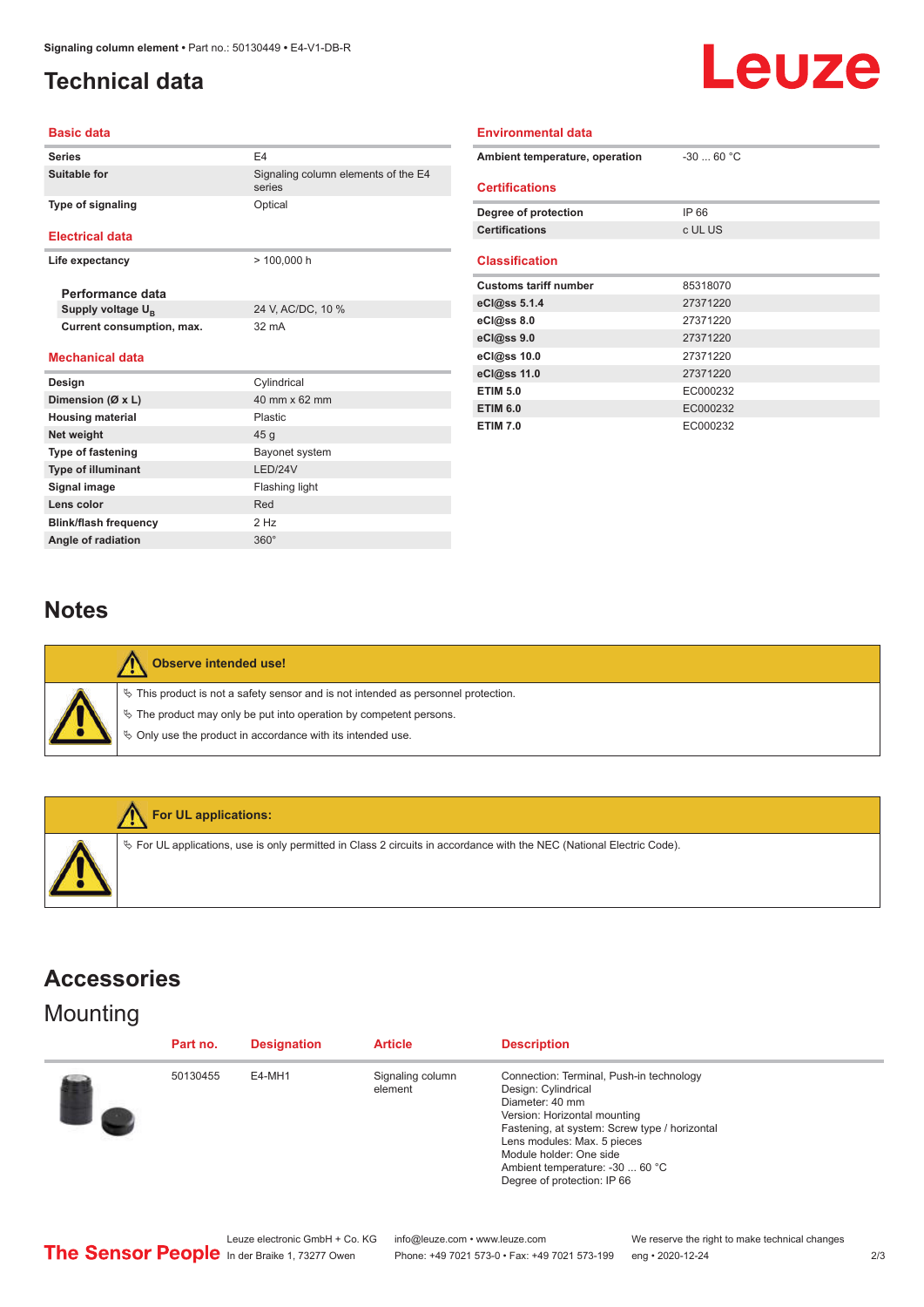### <span id="page-1-0"></span>**Technical data**



#### **Basic data**

| <b>Series</b>                 | F4                                                       |  |  |
|-------------------------------|----------------------------------------------------------|--|--|
| Suitable for                  | Signaling column elements of the E4<br>series<br>Optical |  |  |
| <b>Type of signaling</b>      |                                                          |  |  |
| <b>Electrical data</b>        |                                                          |  |  |
| Life expectancy               | >100.000h                                                |  |  |
| Performance data              |                                                          |  |  |
| Supply voltage U <sub>R</sub> | 24 V, AC/DC, 10 %                                        |  |  |
|                               |                                                          |  |  |
| Current consumption, max.     | 32 <sub>mA</sub>                                         |  |  |
| <b>Mechanical data</b>        |                                                          |  |  |
| Design                        | Cylindrical                                              |  |  |
| Dimension (Ø x L)             | 40 mm x 62 mm                                            |  |  |
| <b>Housing material</b>       | Plastic                                                  |  |  |
| Net weight                    | 45q                                                      |  |  |
| <b>Type of fastening</b>      | Bayonet system                                           |  |  |
| <b>Type of illuminant</b>     | LED/24V                                                  |  |  |
| Signal image                  | Flashing light                                           |  |  |
| Lens color                    | Red                                                      |  |  |
| <b>Blink/flash frequency</b>  | $2$ Hz                                                   |  |  |

| Environmental data             |             |  |  |  |  |  |
|--------------------------------|-------------|--|--|--|--|--|
| Ambient temperature, operation | $-30$ 60 °C |  |  |  |  |  |
| <b>Certifications</b>          |             |  |  |  |  |  |
|                                |             |  |  |  |  |  |
| Degree of protection           | IP 66       |  |  |  |  |  |
| <b>Certifications</b>          | c UL US     |  |  |  |  |  |
|                                |             |  |  |  |  |  |
| <b>Classification</b>          |             |  |  |  |  |  |
| <b>Customs tariff number</b>   | 85318070    |  |  |  |  |  |
| eCl@ss $5.1.4$                 | 27371220    |  |  |  |  |  |
| eCl@ss 8.0                     | 27371220    |  |  |  |  |  |
| eCl@ss 9.0                     | 27371220    |  |  |  |  |  |
| eCl@ss 10.0                    | 27371220    |  |  |  |  |  |
| eCl@ss 11.0                    | 27371220    |  |  |  |  |  |
| <b>ETIM 5.0</b>                | EC000232    |  |  |  |  |  |
| <b>ETIM 6.0</b>                | EC000232    |  |  |  |  |  |
| <b>ETIM 7.0</b>                | EC000232    |  |  |  |  |  |

#### **Notes**

| $\phi$ |
|--------|
| $\phi$ |
| y,     |

#### **Observe intended use!**

 $\%$  This product is not a safety sensor and is not intended as personnel protection.

- $\%$  The product may only be put into operation by competent persons.
- $\%$  Only use the product in accordance with its intended use.



**For UL applications:**

ª For UL applications, use is only permitted in Class 2 circuits in accordance with the NEC (National Electric Code).

#### **Accessories**

### **Mounting**

| Part no. | <b>Designation</b> | <b>Article</b>              | <b>Description</b>                                                                                                                                                                                                                                                                              |
|----------|--------------------|-----------------------------|-------------------------------------------------------------------------------------------------------------------------------------------------------------------------------------------------------------------------------------------------------------------------------------------------|
| 50130455 | E4-MH1             | Signaling column<br>element | Connection: Terminal, Push-in technology<br>Design: Cylindrical<br>Diameter: 40 mm<br>Version: Horizontal mounting<br>Fastening, at system: Screw type / horizontal<br>Lens modules: Max. 5 pieces<br>Module holder: One side<br>Ambient temperature: -30  60 °C<br>Degree of protection: IP 66 |